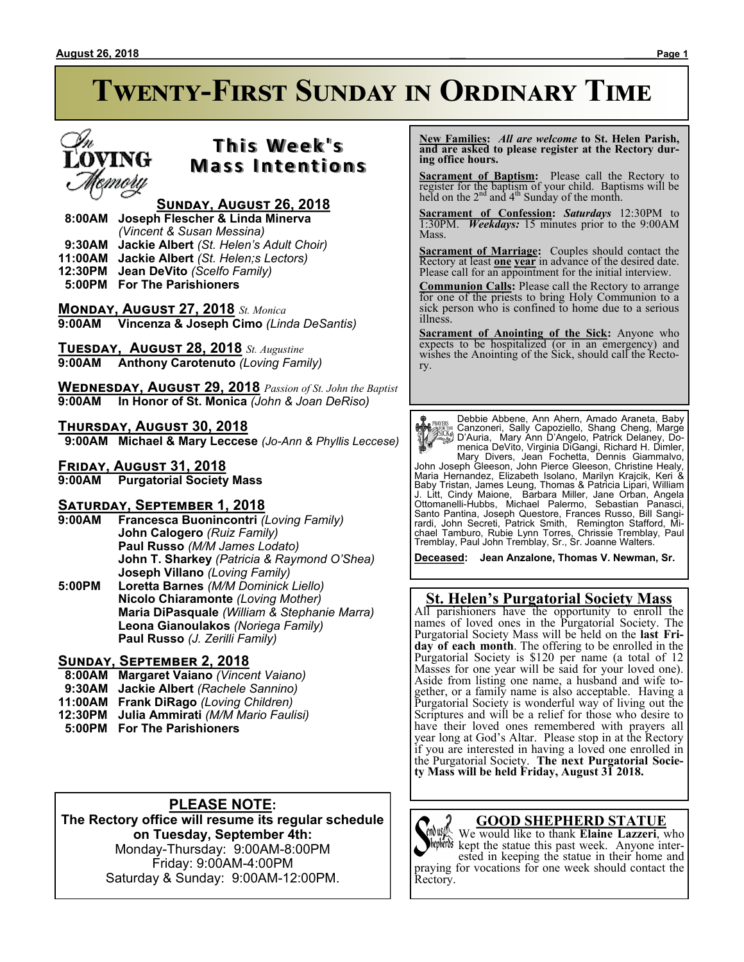# **Twenty-First Sunday in Ordinary Time**

### **T h i s We e k ' s Mass Intentions**

#### **Sunday, August 26, 2018**

 **8:00AM Joseph Flescher & Linda Minerva**

*(Vincent & Susan Messina)*

 **9:30AM Jackie Albert** *(St. Helen's Adult Choir)*

**11:00AM Jackie Albert** *(St. Helen;s Lectors)*

- **12:30PM Jean DeVito** *(Scelfo Family)*
- **5:00PM For The Parishioners**

**Monday, August 27, 2018** *St. Monica* **9:00AM Vincenza & Joseph Cimo** *(Linda DeSantis)*

**Tuesday, August 28, 2018** *St. Augustine* **9:00AM Anthony Carotenuto** *(Loving Family)*

**Wednesday, August 29, 2018** *Passion of St. John the Baptist* **9:00AM In Honor of St. Monica** *(John & Joan DeRiso)*

#### **Thursday, August 30, 2018**

 **9:00AM Michael & Mary Leccese** *(Jo-Ann & Phyllis Leccese)*

**Friday, August 31, 2018**

**9:00AM Purgatorial Society Mass**

## **Saturday, September 1, 2018**

- **Francesca Buonincontri (Loving Family) John Calogero** *(Ruiz Family)* **Paul Russo** *(M/M James Lodato)* **John T. Sharkey** *(Patricia & Raymond O'Shea)* **Joseph Villano** *(Loving Family)*
- **5:00PM Loretta Barnes** *(M/M Dominick Liello)* **Nicolo Chiaramonte** *(Loving Mother)* **Maria DiPasquale** *(William & Stephanie Marra)* **Leona Gianoulakos** *(Noriega Family)* **Paul Russo** *(J. Zerilli Family)*

#### **Sunday, September 2, 2018**

- **8:00AM Margaret Vaiano** *(Vincent Vaiano)*
- **9:30AM Jackie Albert** *(Rachele Sannino)*
- **11:00AM Frank DiRago** *(Loving Children)*
- **12:30PM Julia Ammirati** *(M/M Mario Faulisi)*
- **5:00PM For The Parishioners**

### **PLEASE NOTE:**

**The Rectory office will resume its regular schedule on Tuesday, September 4th:** Monday-Thursday: 9:00AM-8:00PM Friday: 9:00AM-4:00PM Saturday & Sunday: 9:00AM-12:00PM.

 **New Families:** *All are welcome* **to St. Helen Parish, and are asked to please register at the Rectory during office hours.**

**Sacrament of Baptism:** Please call the Rectory to register for the baptism of your child. Baptisms will be held on the  $2<sup>nd</sup>$  and  $4<sup>th</sup>$  Sunday of the month.

**Sacrament of Confession:** *Saturdays* 12:30PM to 1:30PM. *Weekdays:* 15 minutes prior to the 9:00AM Mass.

**Sacrament of Marriage:**Couples should contact the Rectory at least **one year** in advance of the desired date. Please call for an appointment for the initial interview.

**Communion Calls:** Please call the Rectory to arrange for one of the priests to bring Holy Communion to a sick person who is confined to home due to a serious illness.

**Sacrament of Anointing of the Sick:** Anyone who expects to be hospitalized (or in an emergency) and wishes the Anointing of the Sick, should call the Rectory.

**Payris:** Debbie Abbene, Ann Ahern, Amado Araneta, Baby<br>
Canzoneri, Sally Capzziello, Shang Cheng, Marge<br>
Canzoneri, Sally Capzziello, Shang Cheng, Marge<br>
Canzoneri, Sally Capacillo, Patrick Delaney, Do-<br>
menica DeVito, Vi

**Deceased: Jean Anzalone, Thomas V. Newman, Sr.**

#### **St. Helen's Purgatorial Society Mass**

All parishioners have the opportunity to enroll the names of loved ones in the Purgatorial Society. The Purgatorial Society Mass will be held on the **last Friday of each month**. The offering to be enrolled in the Purgatorial Society is \$120 per name (a total of 12 Masses for one year will be said for your loved one). Aside from listing one name, a husband and wife together, or a family name is also acceptable. Having a Purgatorial Society is wonderful way of living out the Scriptures and will be a relief for those who desire to have their loved ones remembered with prayers all year long at God's Altar. Please stop in at the Rectory if you are interested in having a loved one enrolled in the Purgatorial Society. **The next Purgatorial Society Mass will be held Friday, August 31 2018.**

#### **GOOD SHEPHERD STATUE**

We would like to thank **Elaine Lazzeri**, who hepheros kept the statue this past week. Anyone interested in keeping the statue in their home and praying for vocations for one week should contact the Rectory.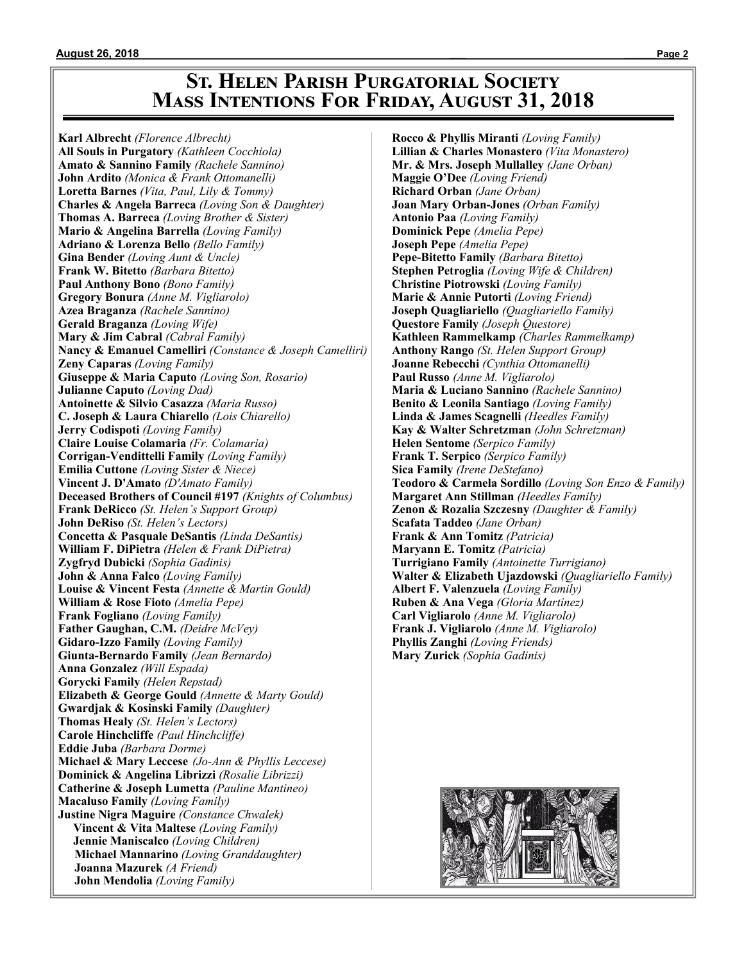### **St. Helen Parish Purgatorial Society Mass Intentions For Friday, August 31, 2018**

**Karl Albrecht** *(Florence Albrecht)* **All Souls in Purgatory** *(Kathleen Cocchiola)* **Amato & Sannino Family** *(Rachele Sannino)* **John Ardito** *(Monica & Frank Ottomanelli)* **Loretta Barnes** *(Vita, Paul, Lily & Tommy)* **Charles & Angela Barreca** *(Loving Son & Daughter)* **Thomas A. Barreca** *(Loving Brother & Sister)* **Mario & Angelina Barrella** *(Loving Family)* **Adriano & Lorenza Bello** *(Bello Family)* **Gina Bender** *(Loving Aunt & Uncle)* **Frank W. Bitetto** *(Barbara Bitetto)* **Paul Anthony Bono** *(Bono Family)* **Gregory Bonura** *(Anne M. Vigliarolo)* **Azea Braganza** *(Rachele Sannino)* **Gerald Braganza** *(Loving Wife)* **Mary & Jim Cabral** *(Cabral Family)* **Nancy & Emanuel Camelliri** *(Constance & Joseph Camelliri)* **Zeny Caparas** *(Loving Family)* **Giuseppe & Maria Caputo** *(Loving Son, Rosario)* **Julianne Caputo** *(Loving Dad)* **Antoinette & Silvio Casazza** *(Maria Russo)* **C. Joseph & Laura Chiarello** *(Lois Chiarello)* **Jerry Codispoti** *(Loving Family)* **Claire Louise Colamaria** *(Fr. Colamaria)* **Corrigan-Vendittelli Family** *(Loving Family)* **Emilia Cuttone** *(Loving Sister & Niece)* **Vincent J. D'Amato** *(D'Amato Family)* **Deceased Brothers of Council #197** *(Knights of Columbus)* **Frank DeRicco** *(St. Helen's Support Group)* **John DeRiso** *(St. Helen's Lectors)* **Concetta & Pasquale DeSantis** *(Linda DeSantis)* **William F. DiPietra** *(Helen & Frank DiPietra)* **Zygfryd Dubicki** *(Sophia Gadinis)* **John & Anna Falco** *(Loving Family)* **Louise & Vincent Festa** *(Annette & Martin Gould)* **William & Rose Fioto** *(Amelia Pepe)* **Frank Fogliano** *(Loving Family)* **Father Gaughan, C.M.** *(Deidre McVey)* **Gidaro-Izzo Family** *(Loving Family)* **Giunta-Bernardo Family** *(Jean Bernardo)* **Anna Gonzalez** *(Will Espada)* **Gorycki Family** *(Helen Repstad)* **Elizabeth & George Gould** *(Annette & Marty Gould)* **Gwardjak & Kosinski Family** *(Daughter)* **Thomas Healy** *(St. Helen's Lectors)* **Carole Hinchcliffe** *(Paul Hinchcliffe)* **Eddie Juba** *(Barbara Dorme)* **Michael & Mary Leccese** *(Jo-Ann & Phyllis Leccese)* **Dominick & Angelina Librizzi** *(Rosalie Librizzi)* **Catherine & Joseph Lumetta** *(Pauline Mantineo)* **Macaluso Family** *(Loving Family)* **Justine Nigra Maguire** *(Constance Chwalek)*  **Vincent & Vita Maltese** *(Loving Family)* **Jennie Maniscalco** *(Loving Children)* **Michael Mannarino** *(Loving Granddaughter)* **Joanna Mazurek** *(A Friend)* **John Mendolia** *(Loving Family)*

**Rocco & Phyllis Miranti** *(Loving Family)* **Lillian & Charles Monastero** *(Vita Monastero)* **Mr. & Mrs. Joseph Mullalley** *(Jane Orban)* **Maggie O'Dee** *(Loving Friend)* **Richard Orban** *(Jane Orban)* **Joan Mary Orban-Jones** *(Orban Family)* **Antonio Paa** *(Loving Family)* **Dominick Pepe** *(Amelia Pepe)* **Joseph Pepe** *(Amelia Pepe)* **Pepe-Bitetto Family** *(Barbara Bitetto)* **Stephen Petroglia** *(Loving Wife & Children)* **Christine Piotrowski** *(Loving Family)* **Marie & Annie Putorti** *(Loving Friend)* **Joseph Quagliariello** *(Quagliariello Family)* **Questore Family** *(Joseph Questore)* **Kathleen Rammelkamp** *(Charles Rammelkamp)* **Anthony Rango** *(St. Helen Support Group)* **Joanne Rebecchi** *(Cynthia Ottomanelli)* **Paul Russo** *(Anne M. Vigliarolo)* **Maria & Luciano Sannino** *(Rachele Sannino)* **Benito & Leonila Santiago** *(Loving Family)* **Linda & James Scagnelli** *(Heedles Family)* **Kay & Walter Schretzman** *(John Schretzman)* **Helen Sentome** *(Serpico Family)* **Frank T. Serpico** *(Serpico Family)* **Sica Family** *(Irene DeStefano)* **Teodoro & Carmela Sordillo** *(Loving Son Enzo & Family)* **Margaret Ann Stillman** *(Heedles Family)* **Zenon & Rozalia Szczesny** *(Daughter & Family)* **Scafata Taddeo** *(Jane Orban)* **Frank & Ann Tomitz** *(Patricia)* **Maryann E. Tomitz** *(Patricia)* **Turrigiano Family** *(Antoinette Turrigiano)* **Walter & Elizabeth Ujazdowski** *(Quagliariello Family)* **Albert F. Valenzuela** *(Loving Family)* **Ruben & Ana Vega** *(Gloria Martinez)* **Carl Vigliarolo** *(Anne M. Vigliarolo)* **Frank J. Vigliarolo** *(Anne M. Vigliarolo)* **Phyllis Zanghi** *(Loving Friends)* **Mary Zurick** *(Sophia Gadinis)*

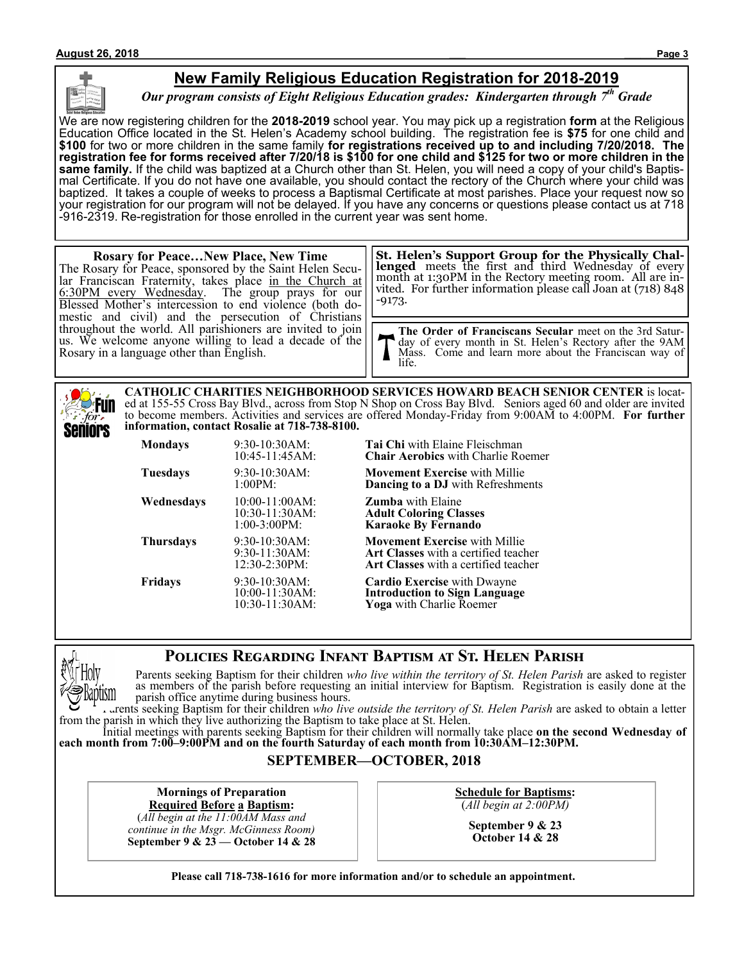#### **New Family Religious Education Registration for 2018-2019**

*Our program consists of Eight Religious Education grades: Kindergarten through 7th Grade*

We are now registering children for the **2018-2019** school year. You may pick up a registration **form** at the Religious Education Office located in the St. Helen's Academy school building. The registration fee is **\$75** for one child and **\$100** for two or more children in the same family **for registrations received up to and including 7/20/2018. The registration fee for forms received after 7/20/18 is \$100 for one child and \$125 for two or more children in the same family.** If the child was baptized at a Church other than St. Helen, you will need a copy of your child's Baptismal Certificate. If you do not have one available, you should contact the rectory of the Church where your child was baptized. It takes a couple of weeks to process a Baptismal Certificate at most parishes. Place your request now so your registration for our program will not be delayed. If you have any concerns or questions please contact us at 718 -916-2319. Re-registration for those enrolled in the current year was sent home.

#### **Rosary for Peace…New Place, New Time** The Rosary for Peace, sponsored by the Saint Helen Secular Franciscan Fraternity, takes place in the Church at 6:30PM every Wednesday. The group prays for our Blessed Mother's intercession to end violence (both domestic and civil) and the persecution of Christians throughout the world. All parishioners are invited to join us. We welcome anyone willing to lead a decade of the Rosary in a language other than English. **The Order of Franciscans Secular** meet on the 3rd Saturday of every month in St. Helen's Rectory after the 9AM Mass. Come and learn more about the Franciscan way of life. **St. Helen's Support Group for the Physically Challenged** meets the first and third Wednesday of every month at 1:30PM in the Rectory meeting room. All are invited. For further information please call Joan at (718) 848 -9173.

**CATHOLIC CHARITIES NEIGHBORHOOD SERVICES HOWARD BEACH SENIOR CENTER** is located at 155-55 Cross Bay Blvd., across from Stop N Shop on Cross Bay Blvd. Seniors aged 60 and older are invited to become members. Activities and services are offered Monday-Friday from 9:00AM to 4:00PM. **For further information, contact Rosalie at 718-738-8100.**

| <b>Mondays</b>   | 9:30-10:30AM:<br>10:45-11:45AM:                        | <b>Tai Chi</b> with Elaine Fleischman<br><b>Chair Aerobics</b> with Charlie Roemer                                          |
|------------------|--------------------------------------------------------|-----------------------------------------------------------------------------------------------------------------------------|
| <b>Tuesdays</b>  | $9:30-10:30AM$ :<br>1:00PM:                            | <b>Movement Exercise</b> with Millie<br><b>Dancing to a DJ</b> with Refreshments                                            |
| Wednesdays       | $10:00-11:00AM$ :<br>10:30-11:30AM:<br>$1:00-3:00PM$ : | <b>Zumba</b> with Elaine<br><b>Adult Coloring Classes</b><br><b>Karaoke By Fernando</b>                                     |
| <b>Thursdays</b> | 9:30-10:30AM:<br>$9:30-11:30AM$ :<br>12:30-2:30PM:     | <b>Movement Exercise</b> with Millie<br><b>Art Classes</b> with a certified teacher<br>Art Classes with a certified teacher |
| <b>Fridays</b>   | 9:30-10:30AM:<br>10:00-11:30AM:<br>$10:30-11:30AM$ :   | <b>Cardio Exercise</b> with Dwayne<br><b>Introduction to Sign Language</b><br>Yoga with Charlie Roemer                      |

#### **Policies Regarding Infant Baptism at St. Helen Parish**

Parents seeking Baptism for their children *who live within the territory of St. Helen Parish* are asked to register as members of the parish before requesting an initial interview for Baptism. Registration is easily done at the parish office anytime during business hours.

Parents seeking Baptism for their children *who live outside the territory of St. Helen Parish* are asked to obtain a letter from the parish in which they live authorizing the Baptism to take place at St. Helen.

Initial meetings with parents seeking Baptism for their children will normally take place **on the second Wednesday of each month from 7:00–9:00PM and on the fourth Saturday of each month from 10:30AM–12:30PM.**

#### **SEPTEMBER—OCTOBER, 2018**

**Mornings of Preparation Required Before a Baptism:**

(*All begin at the 11:00AM Mass and continue in the Msgr. McGinness Room)* **September 9 & 23 — October 14 & 28** **Schedule for Baptisms:** (*All begin at 2:00PM)*

> **September 9 & 23 October 14 & 28**

**Please call 718-738-1616 for more information and/or to schedule an appointment.**

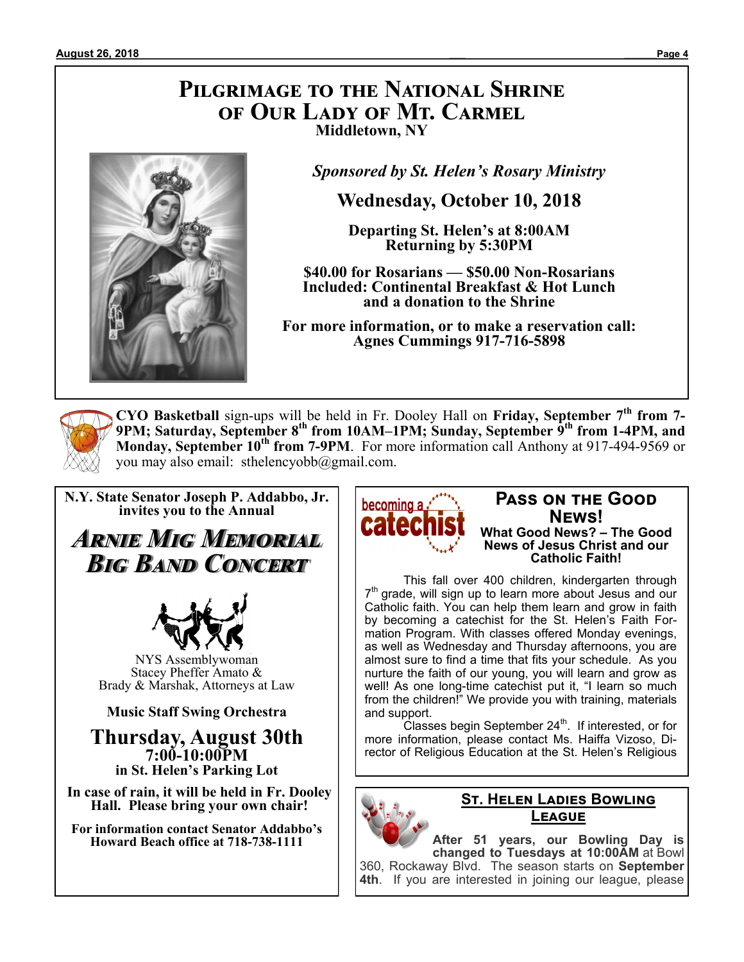### **Pilgrimage to the National Shrine of Our Lady of Mt. Carmel Middletown, NY**



*Sponsored by St. Helen's Rosary Ministry*

**Wednesday, October 10, 2018**

**Departing St. Helen's at 8:00AM Returning by 5:30PM**

**\$40.00 for Rosarians — \$50.00 Non-Rosarians Included: Continental Breakfast & Hot Lunch and a donation to the Shrine**

**For more information, or to make a reservation call: Agnes Cummings 917-716-5898**



**CYO Basketball** sign-ups will be held in Fr. Dooley Hall on **Friday, September 7th from 7- 9PM; Saturday, September 8th from 10AM–1PM; Sunday, September 9th from 1-4PM, and Monday, September 10th from 7-9PM**. For more information call Anthony at 917-494-9569 or you may also email: sthelencyobb@gmail.com.

**N.Y. State Senator Joseph P. Addabbo, Jr. invites you to the Annual**

*Arnie Mig Memorial Big Band Concert*



NYS Assemblywoman Stacey Pheffer Amato & Brady & Marshak, Attorneys at Law

**Music Staff Swing Orchestra**

**Thursday, August 30th 7:00-10:00PM in St. Helen's Parking Lot**

**In case of rain, it will be held in Fr. Dooley Hall. Please bring your own chair!**

**For information contact Senator Addabbo's Howard Beach office at 718-738-1111**



#### **Pass on the Good News! What Good News? – The Good News of Jesus Christ and our Catholic Faith!**

This fall over 400 children, kindergarten through 7<sup>th</sup> grade, will sign up to learn more about Jesus and our Catholic faith. You can help them learn and grow in faith by becoming a catechist for the St. Helen's Faith Formation Program. With classes offered Monday evenings, as well as Wednesday and Thursday afternoons, you are almost sure to find a time that fits your schedule. As you nurture the faith of our young, you will learn and grow as well! As one long-time catechist put it, "I learn so much from the children!" We provide you with training, materials and support.

 $C$ lasses begin September 24<sup>th</sup>. If interested, or for more information, please contact Ms. Haiffa Vizoso, Director of Religious Education at the St. Helen's Religious



#### **St. Helen Ladies Bowling League**

**After 51 years, our Bowling Day is changed to Tuesdays at 10:00AM** at Bowl 360, Rockaway Blvd. The season starts on **September 4th**. If you are interested in joining our league, please